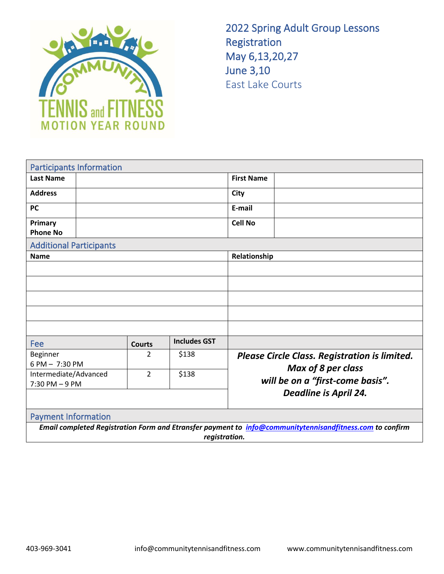

2022 Spring Adult Group Lessons Registration May 6,13,20,27 June 3,10 East Lake Courts

|                                                                                                          | <b>Participants Information</b> |                |                     |                                               |                                  |  |  |  |
|----------------------------------------------------------------------------------------------------------|---------------------------------|----------------|---------------------|-----------------------------------------------|----------------------------------|--|--|--|
| <b>Last Name</b>                                                                                         |                                 |                | <b>First Name</b>   |                                               |                                  |  |  |  |
| <b>Address</b>                                                                                           |                                 |                |                     | <b>City</b>                                   |                                  |  |  |  |
| <b>PC</b>                                                                                                |                                 |                |                     | E-mail                                        |                                  |  |  |  |
| Primary<br><b>Phone No</b>                                                                               |                                 |                |                     | <b>Cell No</b>                                |                                  |  |  |  |
| <b>Additional Participants</b>                                                                           |                                 |                |                     |                                               |                                  |  |  |  |
| <b>Name</b>                                                                                              |                                 |                |                     | Relationship                                  |                                  |  |  |  |
|                                                                                                          |                                 |                |                     |                                               |                                  |  |  |  |
|                                                                                                          |                                 |                |                     |                                               |                                  |  |  |  |
|                                                                                                          |                                 |                |                     |                                               |                                  |  |  |  |
|                                                                                                          |                                 |                |                     |                                               |                                  |  |  |  |
|                                                                                                          |                                 |                |                     |                                               |                                  |  |  |  |
| Fee                                                                                                      |                                 | <b>Courts</b>  | <b>Includes GST</b> |                                               |                                  |  |  |  |
| Beginner                                                                                                 |                                 | 2              | \$138               | Please Circle Class. Registration is limited. |                                  |  |  |  |
| 6 PM - 7:30 PM                                                                                           |                                 | $\overline{2}$ | \$138               |                                               | Max of 8 per class               |  |  |  |
| Intermediate/Advanced<br>$7:30$ PM $-9$ PM                                                               |                                 |                |                     |                                               | will be on a "first-come basis". |  |  |  |
|                                                                                                          |                                 |                |                     | <b>Deadline is April 24.</b>                  |                                  |  |  |  |
| <b>Payment Information</b>                                                                               |                                 |                |                     |                                               |                                  |  |  |  |
| Email completed Registration Form and Etransfer payment to info@communitytennisandfitness.com to confirm |                                 |                |                     |                                               |                                  |  |  |  |
| registration.                                                                                            |                                 |                |                     |                                               |                                  |  |  |  |